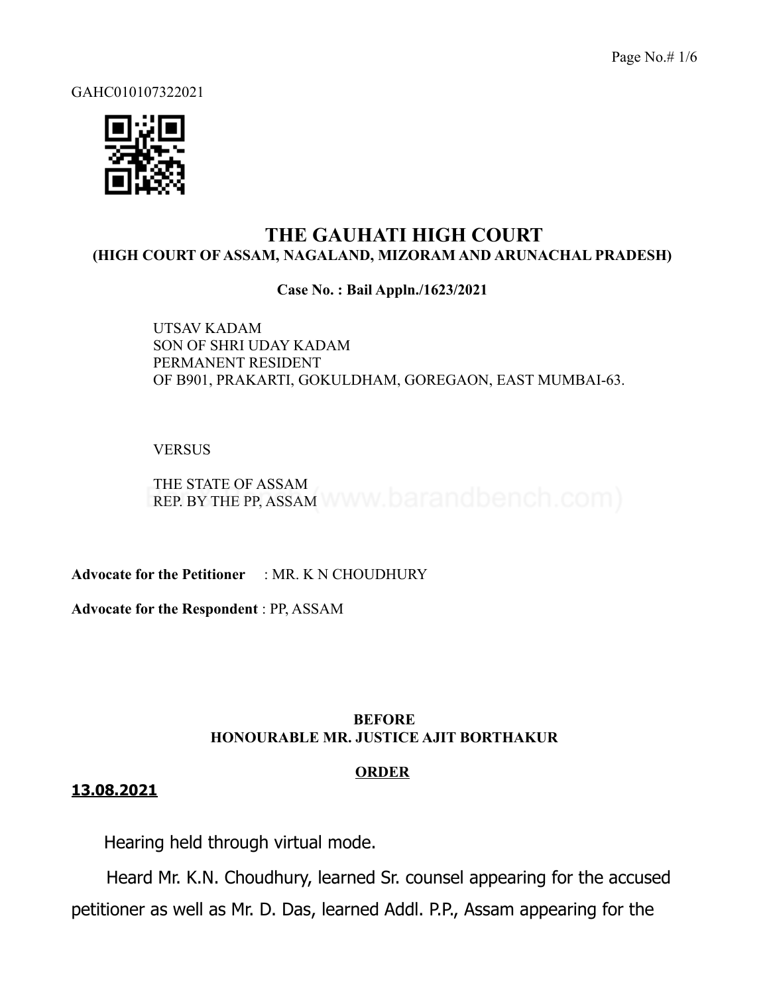Page No.# 1/6

GAHC010107322021



# **THE GAUHATI HIGH COURT (HIGH COURT OF ASSAM, NAGALAND, MIZORAM AND ARUNACHAL PRADESH)**

## **Case No. : Bail Appln./1623/2021**

UTSAV KADAM SON OF SHRI UDAY KADAM PERMANENT RESIDENT OF B901, PRAKARTI, GOKULDHAM, GOREGAON, EAST MUMBAI-63.

## **VERSUS**

THE STATE OF ASSAM REP. BY THE PP, ASSAM WWW. barandbench.com)

**Advocate for the Petitioner** : MR. K N CHOUDHURY

**Advocate for the Respondent** : PP, ASSAM

# **BEFORE HONOURABLE MR. JUSTICE AJIT BORTHAKUR**

## **ORDER**

# **13.08.2021**

Hearing held through virtual mode.

Heard Mr. K.N. Choudhury, learned Sr. counsel appearing for the accused petitioner as well as Mr. D. Das, learned Addl. P.P., Assam appearing for the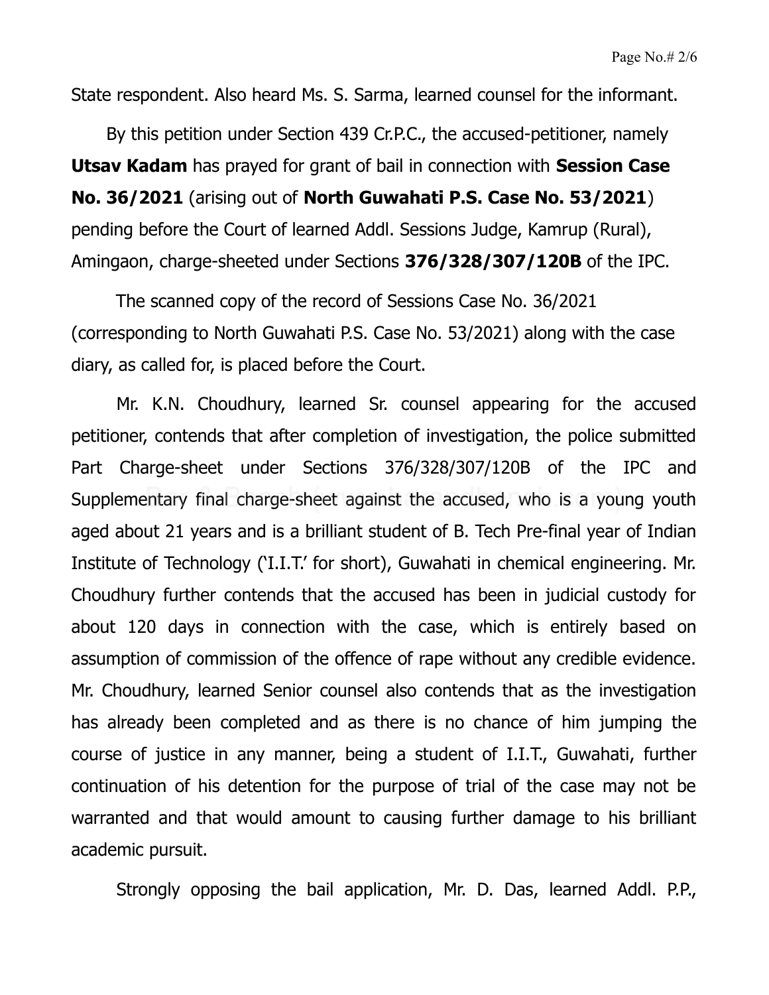State respondent. Also heard Ms. S. Sarma, learned counsel for the informant.

By this petition under Section 439 Cr.P.C., the accused-petitioner, namely **Utsav Kadam** has prayed for grant of bail in connection with **Session Case No. 36/2021** (arising out of **North Guwahati P.S. Case No. 53/2021**) pending before the Court of learned Addl. Sessions Judge, Kamrup (Rural), Amingaon, charge-sheeted under Sections **376/328/307/120B** of the IPC.

The scanned copy of the record of Sessions Case No. 36/2021 (corresponding to North Guwahati P.S. Case No. 53/2021) along with the case diary, as called for, is placed before the Court.

Mr. K.N. Choudhury, learned Sr. counsel appearing for the accused petitioner, contends that after completion of investigation, the police submitted Part Charge-sheet under Sections 376/328/307/120B of the IPC and Supplementary final charge-sheet against the accused, who is a young youth aged about 21 years and is a brilliant student of B. Tech Pre-final year of Indian Institute of Technology ('I.I.T.' for short), Guwahati in chemical engineering. Mr. Choudhury further contends that the accused has been in judicial custody for about 120 days in connection with the case, which is entirely based on assumption of commission of the offence of rape without any credible evidence. Mr. Choudhury, learned Senior counsel also contends that as the investigation has already been completed and as there is no chance of him jumping the course of justice in any manner, being a student of I.I.T., Guwahati, further continuation of his detention for the purpose of trial of the case may not be warranted and that would amount to causing further damage to his brilliant academic pursuit.

Strongly opposing the bail application, Mr. D. Das, learned Addl. P.P.,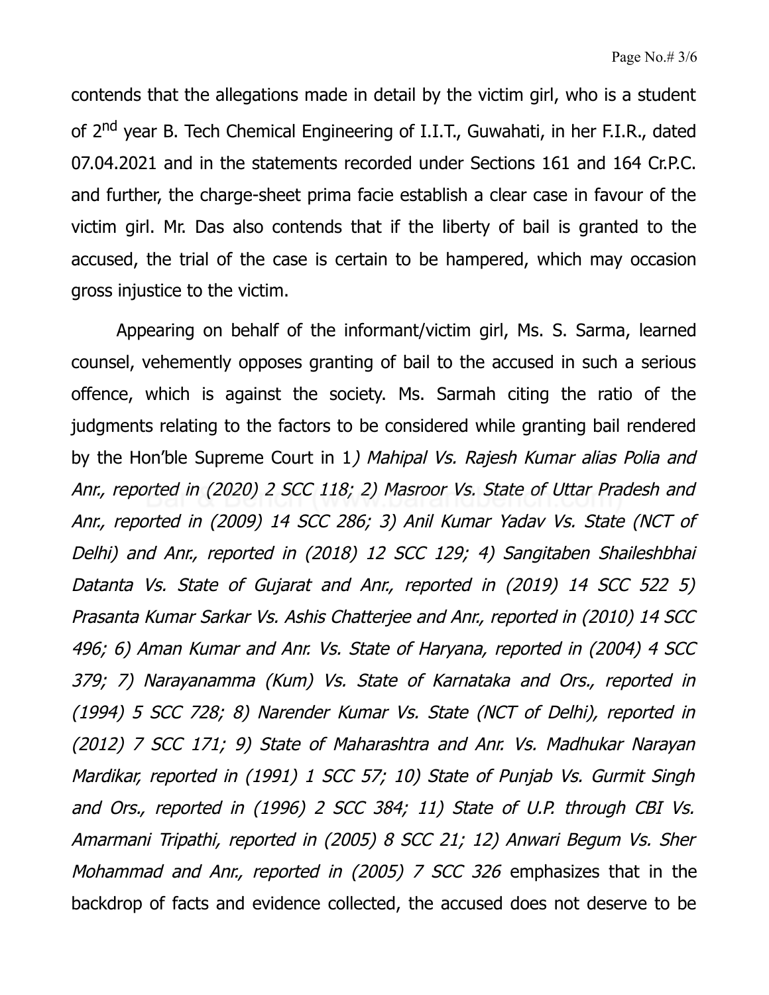contends that the allegations made in detail by the victim girl, who is a student of 2<sup>nd</sup> year B. Tech Chemical Engineering of I.I.T., Guwahati, in her F.I.R., dated 07.04.2021 and in the statements recorded under Sections 161 and 164 Cr.P.C. and further, the charge-sheet prima facie establish a clear case in favour of the victim girl. Mr. Das also contends that if the liberty of bail is granted to the accused, the trial of the case is certain to be hampered, which may occasion gross injustice to the victim.

Appearing on behalf of the informant/victim girl, Ms. S. Sarma, learned counsel, vehemently opposes granting of bail to the accused in such a serious offence, which is against the society. Ms. Sarmah citing the ratio of the judgments relating to the factors to be considered while granting bail rendered by the Hon'ble Supreme Court in 1) Mahipal Vs. Rajesh Kumar alias Polia and Anr., reported in (2020) 2 SCC 118; 2) Masroor Vs. State of Uttar Pradesh and Anr., reported in (2009) 14 SCC 286; 3) Anil Kumar Yadav Vs. State (NCT of Delhi) and Anr., reported in (2018) 12 SCC 129; 4) Sangitaben Shaileshbhai Datanta Vs. State of Gujarat and Anr., reported in (2019) 14 SCC 522 5) Prasanta Kumar Sarkar Vs. Ashis Chatterjee and Anr., reported in (2010) 14 SCC 496; 6) Aman Kumar and Anr. Vs. State of Haryana, reported in (2004) 4 SCC 379; 7) Narayanamma (Kum) Vs. State of Karnataka and Ors., reported in (1994) 5 SCC 728; 8) Narender Kumar Vs. State (NCT of Delhi), reported in (2012) 7 SCC 171; 9) State of Maharashtra and Anr. Vs. Madhukar Narayan Mardikar, reported in (1991) 1 SCC 57; 10) State of Punjab Vs. Gurmit Singh and Ors., reported in (1996) 2 SCC 384; 11) State of U.P. through CBI Vs. Amarmani Tripathi, reported in (2005) 8 SCC 21; 12) Anwari Begum Vs. Sher Mohammad and Anr., reported in (2005) 7 SCC 326 emphasizes that in the backdrop of facts and evidence collected, the accused does not deserve to be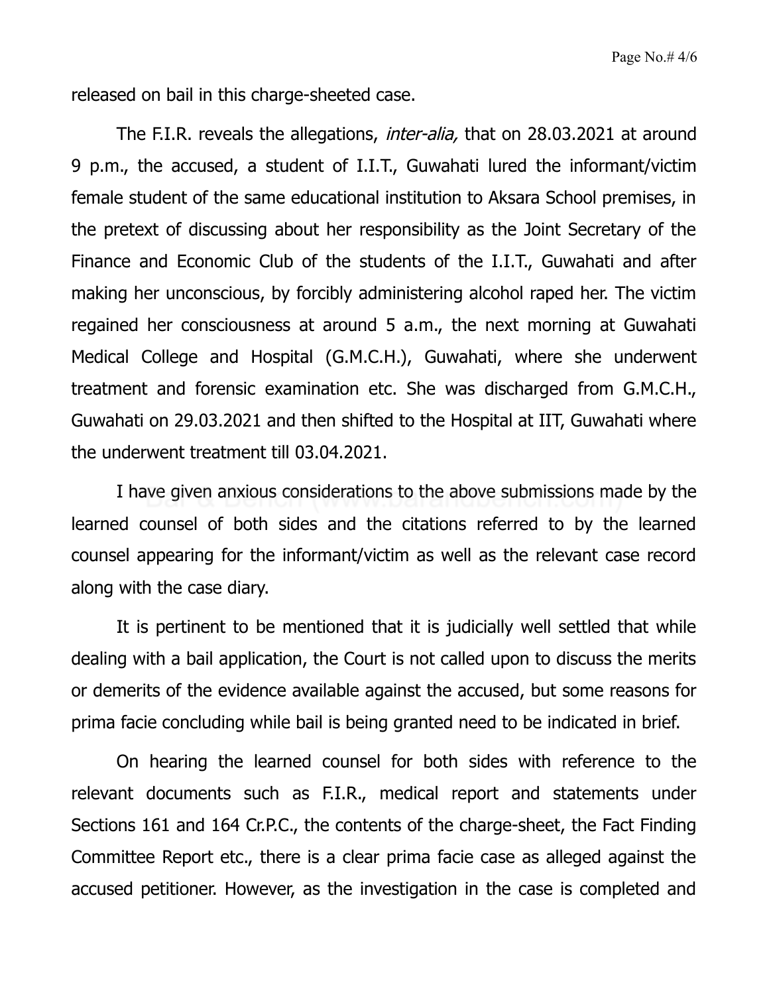released on bail in this charge-sheeted case.

The F.I.R. reveals the allegations, *inter-alia*, that on 28.03.2021 at around 9 p.m., the accused, a student of I.I.T., Guwahati lured the informant/victim female student of the same educational institution to Aksara School premises, in the pretext of discussing about her responsibility as the Joint Secretary of the Finance and Economic Club of the students of the I.I.T., Guwahati and after making her unconscious, by forcibly administering alcohol raped her. The victim regained her consciousness at around 5 a.m., the next morning at Guwahati Medical College and Hospital (G.M.C.H.), Guwahati, where she underwent treatment and forensic examination etc. She was discharged from G.M.C.H., Guwahati on 29.03.2021 and then shifted to the Hospital at IIT, Guwahati where the underwent treatment till 03.04.2021.

I have given anxious considerations to the above submissions made by the learned counsel of both sides and the citations referred to by the learned counsel appearing for the informant/victim as well as the relevant case record along with the case diary.

It is pertinent to be mentioned that it is judicially well settled that while dealing with a bail application, the Court is not called upon to discuss the merits or demerits of the evidence available against the accused, but some reasons for prima facie concluding while bail is being granted need to be indicated in brief.

On hearing the learned counsel for both sides with reference to the relevant documents such as F.I.R., medical report and statements under Sections 161 and 164 Cr.P.C., the contents of the charge-sheet, the Fact Finding Committee Report etc., there is a clear prima facie case as alleged against the accused petitioner. However, as the investigation in the case is completed and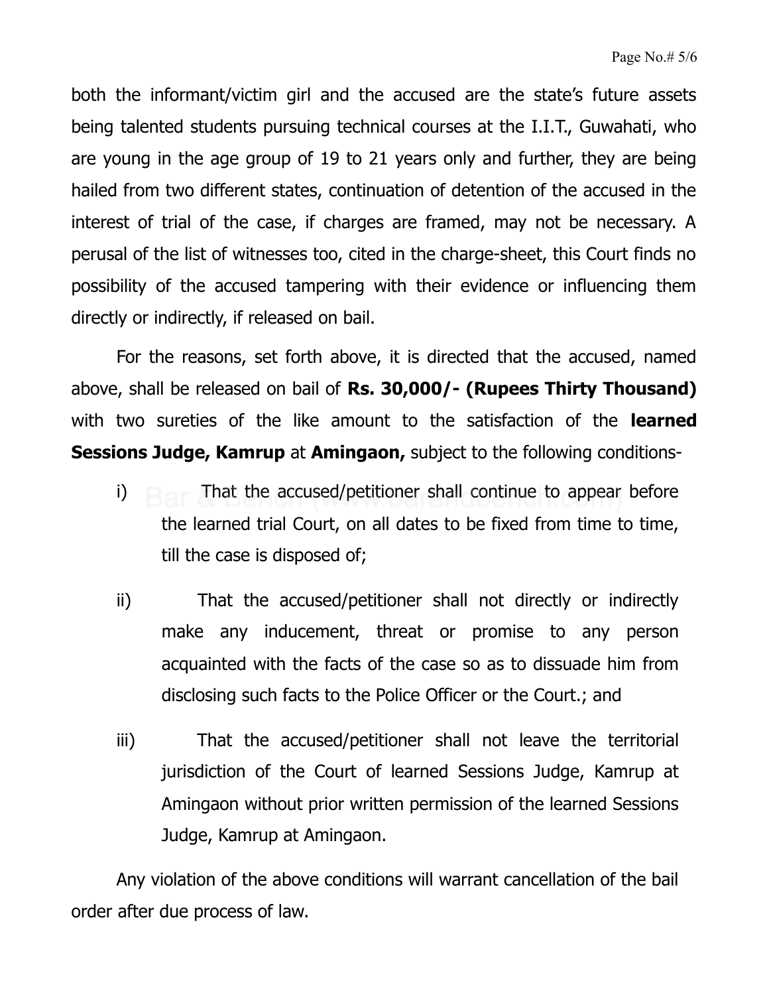both the informant/victim girl and the accused are the state's future assets being talented students pursuing technical courses at the I.I.T., Guwahati, who are young in the age group of 19 to 21 years only and further, they are being hailed from two different states, continuation of detention of the accused in the interest of trial of the case, if charges are framed, may not be necessary. A perusal of the list of witnesses too, cited in the charge-sheet, this Court finds no possibility of the accused tampering with their evidence or influencing them directly or indirectly, if released on bail.

For the reasons, set forth above, it is directed that the accused, named above, shall be released on bail of **Rs. 30,000/- (Rupees Thirty Thousand)** with two sureties of the like amount to the satisfaction of the **learned Sessions Judge, Kamrup** at **Amingaon,** subject to the following conditions-

- i) That the accused/petitioner shall continue to appear before the learned trial Court, on all dates to be fixed from time to time, till the case is disposed of;
- ii) That the accused/petitioner shall not directly or indirectly make any inducement, threat or promise to any person acquainted with the facts of the case so as to dissuade him from disclosing such facts to the Police Officer or the Court.; and
- iii) That the accused/petitioner shall not leave the territorial jurisdiction of the Court of learned Sessions Judge, Kamrup at Amingaon without prior written permission of the learned Sessions Judge, Kamrup at Amingaon.

Any violation of the above conditions will warrant cancellation of the bail order after due process of law.